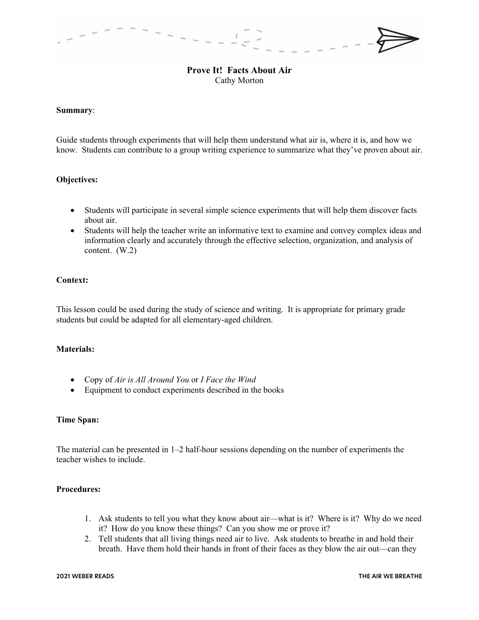# **Prove It! Facts About Air** Cathy Morton

#### **Summary**:

Guide students through experiments that will help them understand what air is, where it is, and how we know. Students can contribute to a group writing experience to summarize what they've proven about air.

### **Objectives:**

- Students will participate in several simple science experiments that will help them discover facts about air.
- Students will help the teacher write an informative text to examine and convey complex ideas and information clearly and accurately through the effective selection, organization, and analysis of content. (W.2)

## **Context:**

This lesson could be used during the study of science and writing. It is appropriate for primary grade students but could be adapted for all elementary-aged children.

## **Materials:**

- Copy of *Air is All Around You* or *I Face the Wind*
- Equipment to conduct experiments described in the books

#### **Time Span:**

The material can be presented in 1–2 half-hour sessions depending on the number of experiments the teacher wishes to include.

## **Procedures:**

- 1. Ask students to tell you what they know about air—what is it? Where is it? Why do we need it? How do you know these things? Can you show me or prove it?
- 2. Tell students that all living things need air to live. Ask students to breathe in and hold their breath. Have them hold their hands in front of their faces as they blow the air out—can they